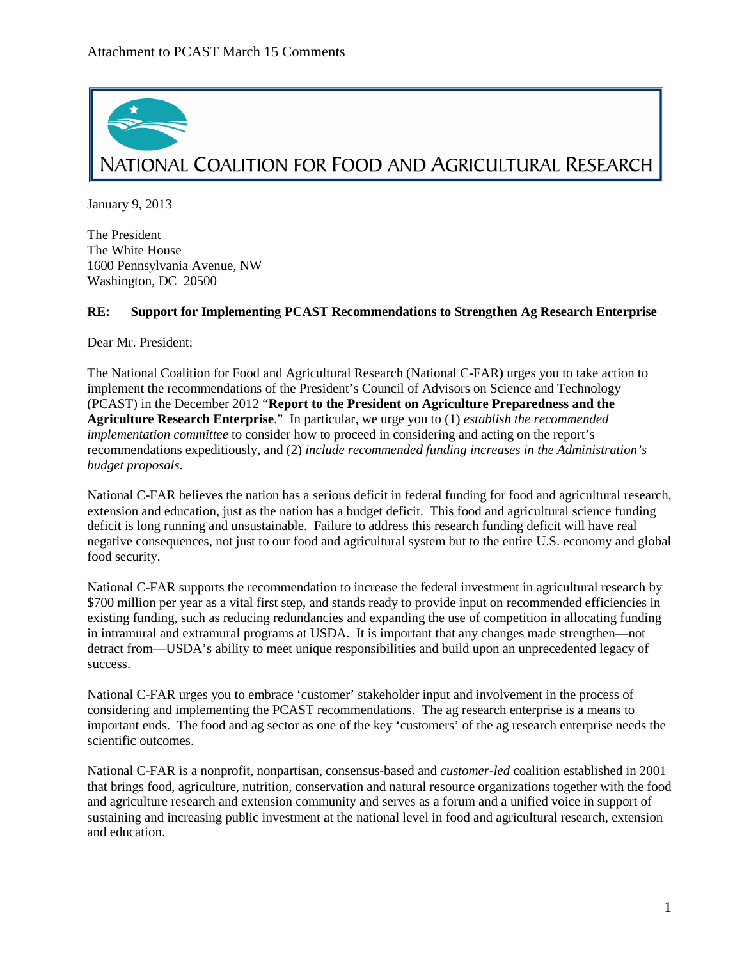

January 9, 2013

The President The White House 1600 Pennsylvania Avenue, NW Washington, DC 20500

## **RE: Support for Implementing PCAST Recommendations to Strengthen Ag Research Enterprise**

Dear Mr. President:

The National Coalition for Food and Agricultural Research (National C-FAR) urges you to take action to implement the recommendations of the President's Council of Advisors on Science and Technology (PCAST) in the December 2012 "**Report to the President on Agriculture Preparedness and the Agriculture Research Enterprise**." In particular, we urge you to (1) *establish the recommended implementation committee* to consider how to proceed in considering and acting on the report's recommendations expeditiously, and (2) *include recommended funding increases in the Administration's budget proposals*.

National C-FAR believes the nation has a serious deficit in federal funding for food and agricultural research, extension and education, just as the nation has a budget deficit. This food and agricultural science funding deficit is long running and unsustainable. Failure to address this research funding deficit will have real negative consequences, not just to our food and agricultural system but to the entire U.S. economy and global food security.

National C-FAR supports the recommendation to increase the federal investment in agricultural research by \$700 million per year as a vital first step, and stands ready to provide input on recommended efficiencies in existing funding, such as reducing redundancies and expanding the use of competition in allocating funding in intramural and extramural programs at USDA. It is important that any changes made strengthen—not detract from—USDA's ability to meet unique responsibilities and build upon an unprecedented legacy of success.

National C-FAR urges you to embrace 'customer' stakeholder input and involvement in the process of considering and implementing the PCAST recommendations. The ag research enterprise is a means to important ends. The food and ag sector as one of the key 'customers' of the ag research enterprise needs the scientific outcomes.

National C-FAR is a nonprofit, nonpartisan, consensus-based and *customer-led* coalition established in 2001 that brings food, agriculture, nutrition, conservation and natural resource organizations together with the food and agriculture research and extension community and serves as a forum and a unified voice in support of sustaining and increasing public investment at the national level in food and agricultural research, extension and education.